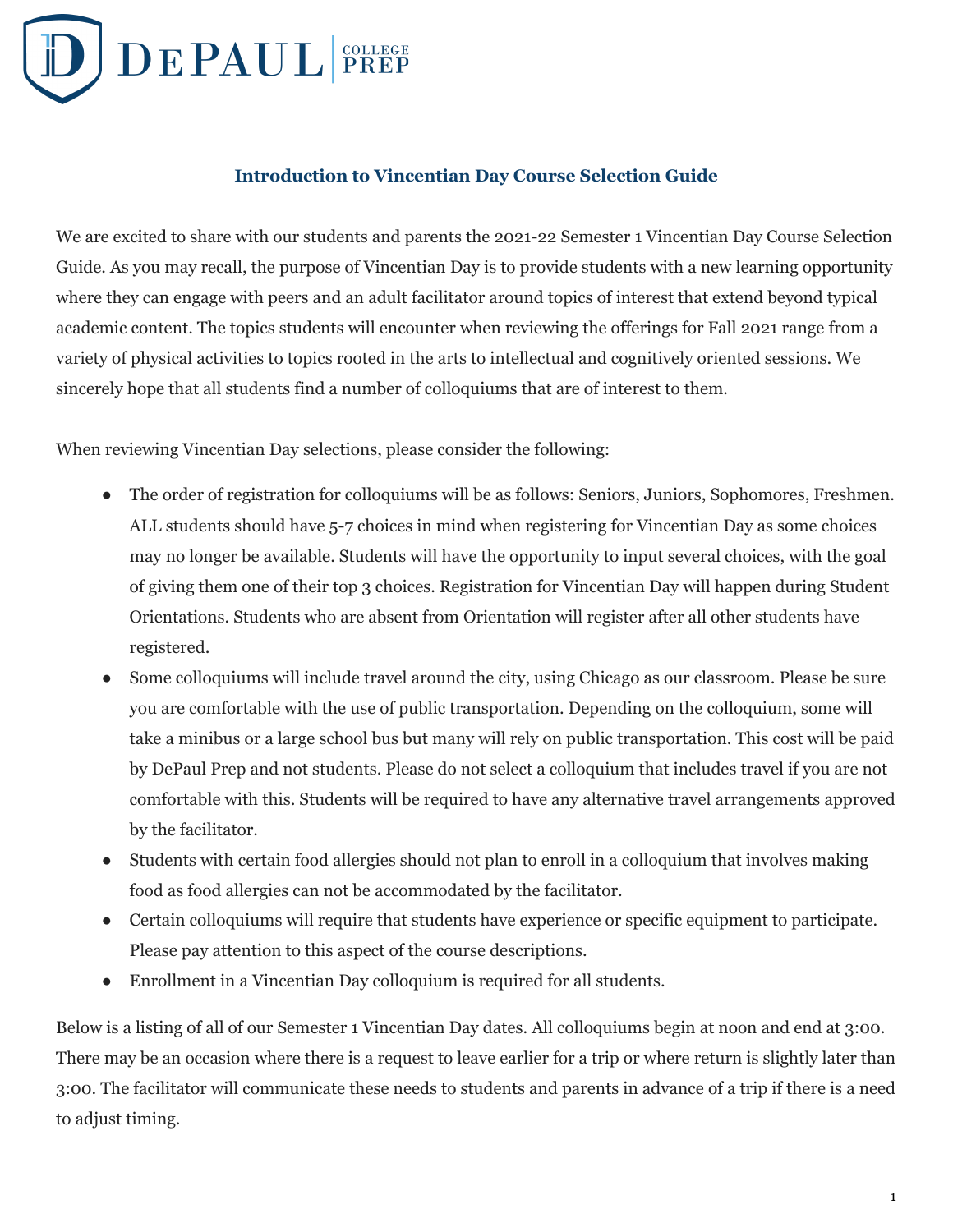

# **Introduction to Vincentian Day Course Selection Guide**

We are excited to share with our students and parents the 2021-22 Semester 1 Vincentian Day Course Selection Guide. As you may recall, the purpose of Vincentian Day is to provide students with a new learning opportunity where they can engage with peers and an adult facilitator around topics of interest that extend beyond typical academic content. The topics students will encounter when reviewing the offerings for Fall 2021 range from a variety of physical activities to topics rooted in the arts to intellectual and cognitively oriented sessions. We sincerely hope that all students find a number of colloquiums that are of interest to them.

When reviewing Vincentian Day selections, please consider the following:

- The order of registration for colloquiums will be as follows: Seniors, Juniors, Sophomores, Freshmen. ALL students should have 5-7 choices in mind when registering for Vincentian Day as some choices may no longer be available. Students will have the opportunity to input several choices, with the goal of giving them one of their top 3 choices. Registration for Vincentian Day will happen during Student Orientations. Students who are absent from Orientation will register after all other students have registered.
- Some colloquiums will include travel around the city, using Chicago as our classroom. Please be sure you are comfortable with the use of public transportation. Depending on the colloquium, some will take a minibus or a large school bus but many will rely on public transportation. This cost will be paid by DePaul Prep and not students. Please do not select a colloquium that includes travel if you are not comfortable with this. Students will be required to have any alternative travel arrangements approved by the facilitator.
- Students with certain food allergies should not plan to enroll in a colloquium that involves making food as food allergies can not be accommodated by the facilitator.
- Certain colloquiums will require that students have experience or specific equipment to participate. Please pay attention to this aspect of the course descriptions.
- Enrollment in a Vincentian Day colloquium is required for all students.

Below is a listing of all of our Semester 1 Vincentian Day dates. All colloquiums begin at noon and end at 3:00. There may be an occasion where there is a request to leave earlier for a trip or where return is slightly later than 3:00. The facilitator will communicate these needs to students and parents in advance of a trip if there is a need to adjust timing.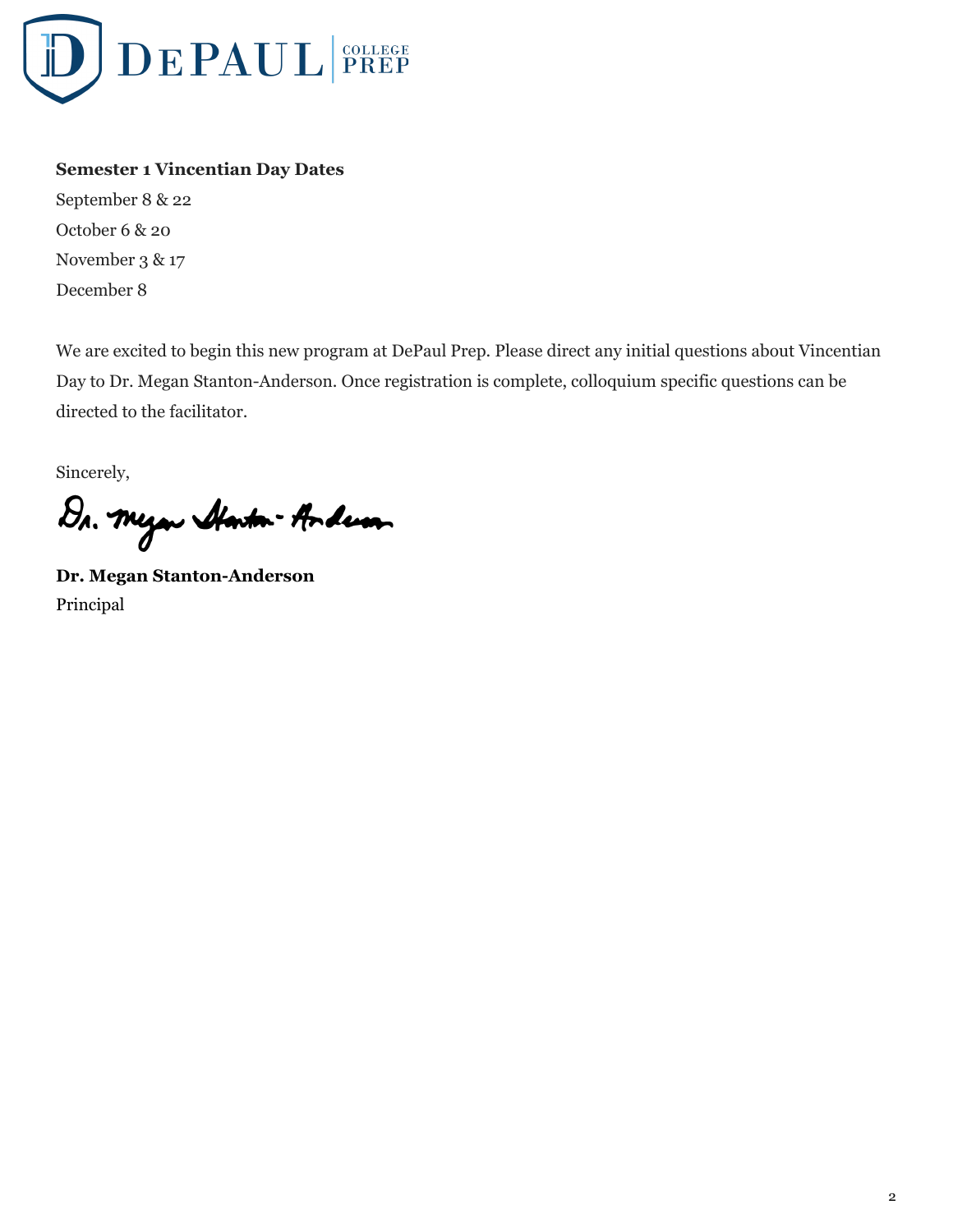

# **Semester 1 Vincentian Day Dates**

September 8 & 22 October 6 & 20 November 3 & 17 December 8

We are excited to begin this new program at DePaul Prep. Please direct any initial questions about Vincentian Day to Dr. Megan Stanton-Anderson. Once registration is complete, colloquium specific questions can be directed to the facilitator.

Sincerely,

Dr. Myan Alanton-Anderson

**Dr. Megan Stanton-Anderson** Principal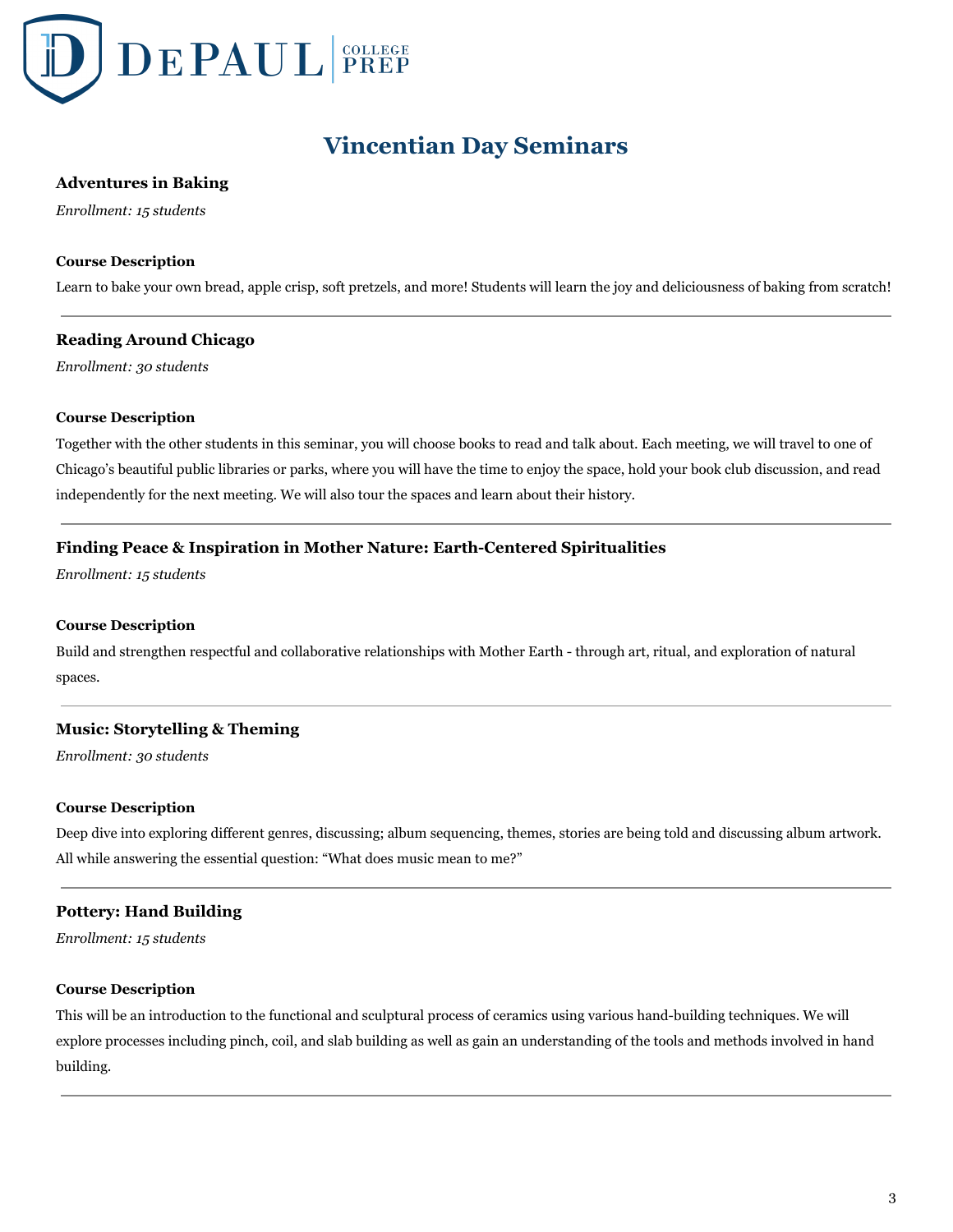

# **Vincentian Day Seminars**

## **Adventures in Baking**

*Enrollment: 15 students*

#### **Course Description**

Learn to bake your own bread, apple crisp, soft pretzels, and more! Students will learn the joy and deliciousness of baking from scratch!

## **Reading Around Chicago**

*Enrollment: 30 students*

#### **Course Description**

Together with the other students in this seminar, you will choose books to read and talk about. Each meeting, we will travel to one of Chicago's beautiful public libraries or parks, where you will have the time to enjoy the space, hold your book club discussion, and read independently for the next meeting. We will also tour the spaces and learn about their history.

## **Finding Peace & Inspiration in Mother Nature: Earth-Centered Spiritualities**

*Enrollment: 15 students*

#### **Course Description**

Build and strengthen respectful and collaborative relationships with Mother Earth - through art, ritual, and exploration of natural spaces.

## **Music: Storytelling & Theming**

*Enrollment: 30 students*

#### **Course Description**

Deep dive into exploring different genres, discussing; album sequencing, themes, stories are being told and discussing album artwork. All while answering the essential question: "What does music mean to me?"

## **Pottery: Hand Building**

*Enrollment: 15 students*

#### **Course Description**

This will be an introduction to the functional and sculptural process of ceramics using various hand-building techniques. We will explore processes including pinch, coil, and slab building as well as gain an understanding of the tools and methods involved in hand building.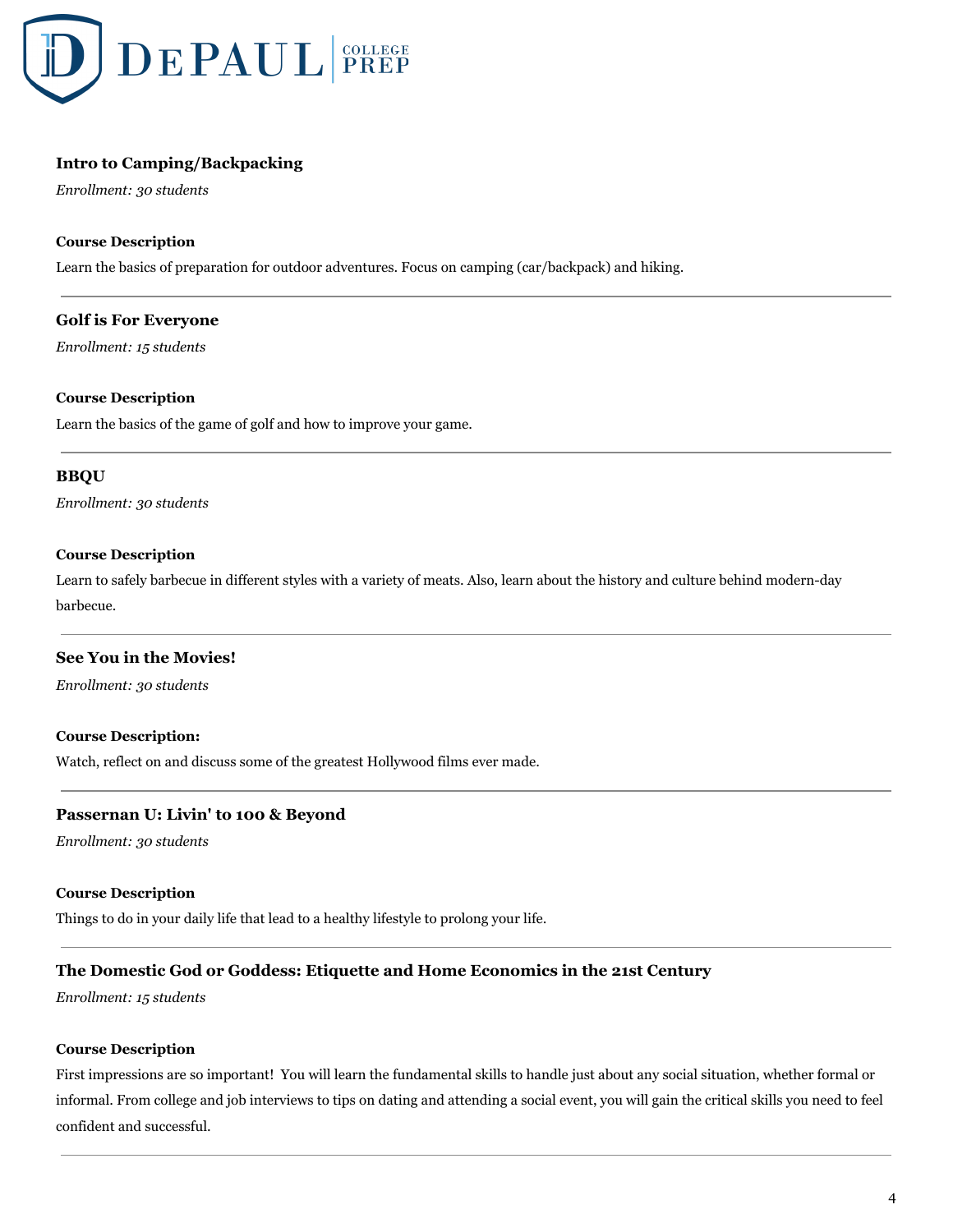

# **Intro to Camping/Backpacking**

*Enrollment: 30 students*

## **Course Description**

Learn the basics of preparation for outdoor adventures. Focus on camping (car/backpack) and hiking.

## **Golf is For Everyone**

*Enrollment: 15 students*

#### **Course Description**

Learn the basics of the game of golf and how to improve your game.

## **BBQU**

*Enrollment: 30 students*

## **Course Description**

Learn to safely barbecue in different styles with a variety of meats. Also, learn about the history and culture behind modern-day barbecue.

## **See You in the Movies!**

*Enrollment: 30 students*

#### **Course Description:**

Watch, reflect on and discuss some of the greatest Hollywood films ever made.

## **Passernan U: Livin' to 100 & Beyond**

*Enrollment: 30 students*

#### **Course Description**

Things to do in your daily life that lead to a healthy lifestyle to prolong your life.

## **The Domestic God or Goddess: Etiquette and Home Economics in the 21st Century**

*Enrollment: 15 students*

#### **Course Description**

First impressions are so important! You will learn the fundamental skills to handle just about any social situation, whether formal or informal. From college and job interviews to tips on dating and attending a social event, you will gain the critical skills you need to feel confident and successful.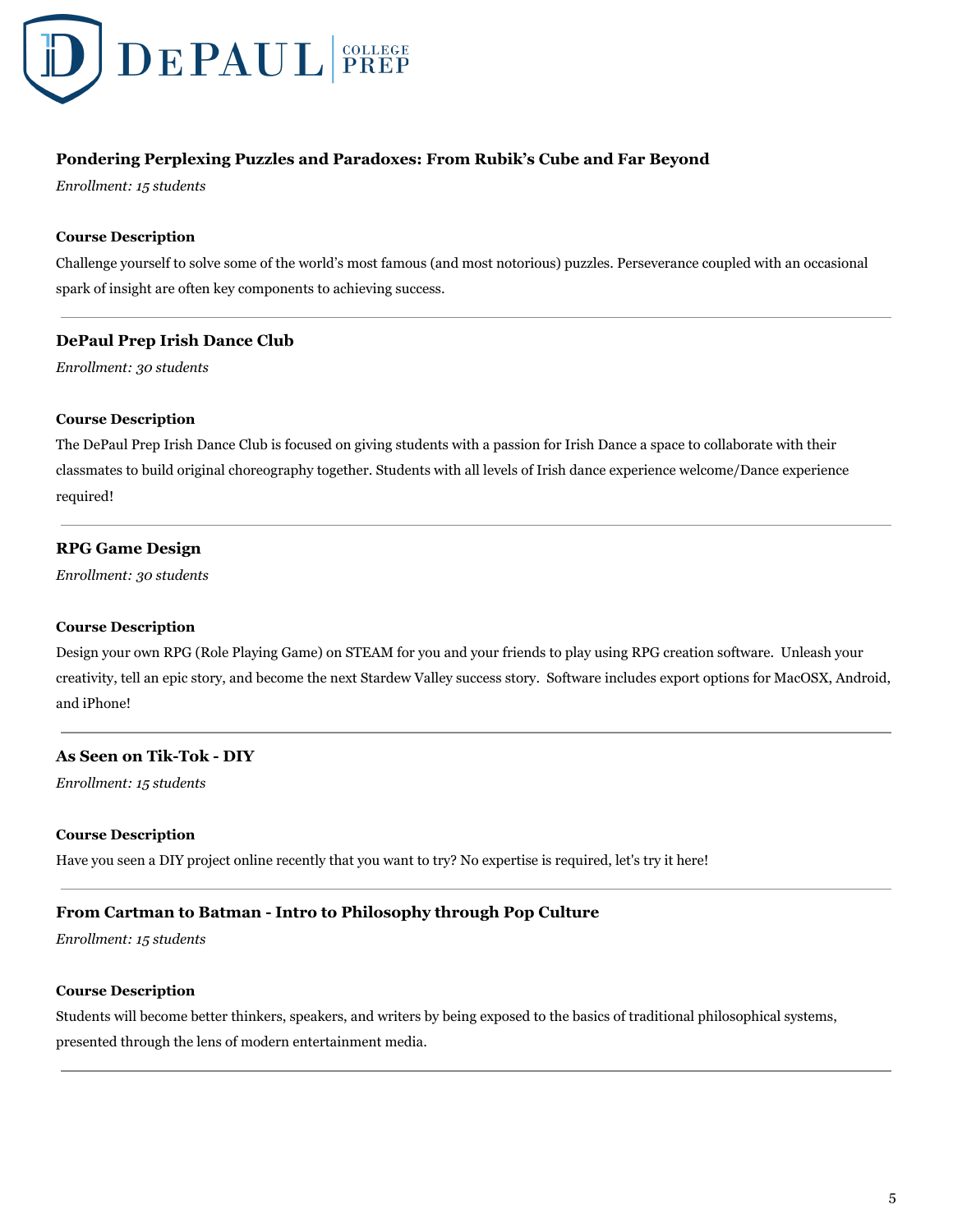

# **Pondering Perplexing Puzzles and Paradoxes: From Rubik's Cube and Far Beyond**

*Enrollment: 15 students*

## **Course Description**

Challenge yourself to solve some of the world's most famous (and most notorious) puzzles. Perseverance coupled with an occasional spark of insight are often key components to achieving success.

## **DePaul Prep Irish Dance Club**

*Enrollment: 30 students*

## **Course Description**

The DePaul Prep Irish Dance Club is focused on giving students with a passion for Irish Dance a space to collaborate with their classmates to build original choreography together. Students with all levels of Irish dance experience welcome/Dance experience required!

## **RPG Game Design**

*Enrollment: 30 students*

#### **Course Description**

Design your own RPG (Role Playing Game) on STEAM for you and your friends to play using RPG creation software. Unleash your creativity, tell an epic story, and become the next Stardew Valley success story. Software includes export options for MacOSX, Android, and iPhone!

# **As Seen on Tik-Tok - DIY**

*Enrollment: 15 students*

#### **Course Description**

Have you seen a DIY project online recently that you want to try? No expertise is required, let's try it here!

## **From Cartman to Batman - Intro to Philosophy through Pop Culture**

*Enrollment: 15 students*

## **Course Description**

Students will become better thinkers, speakers, and writers by being exposed to the basics of traditional philosophical systems, presented through the lens of modern entertainment media.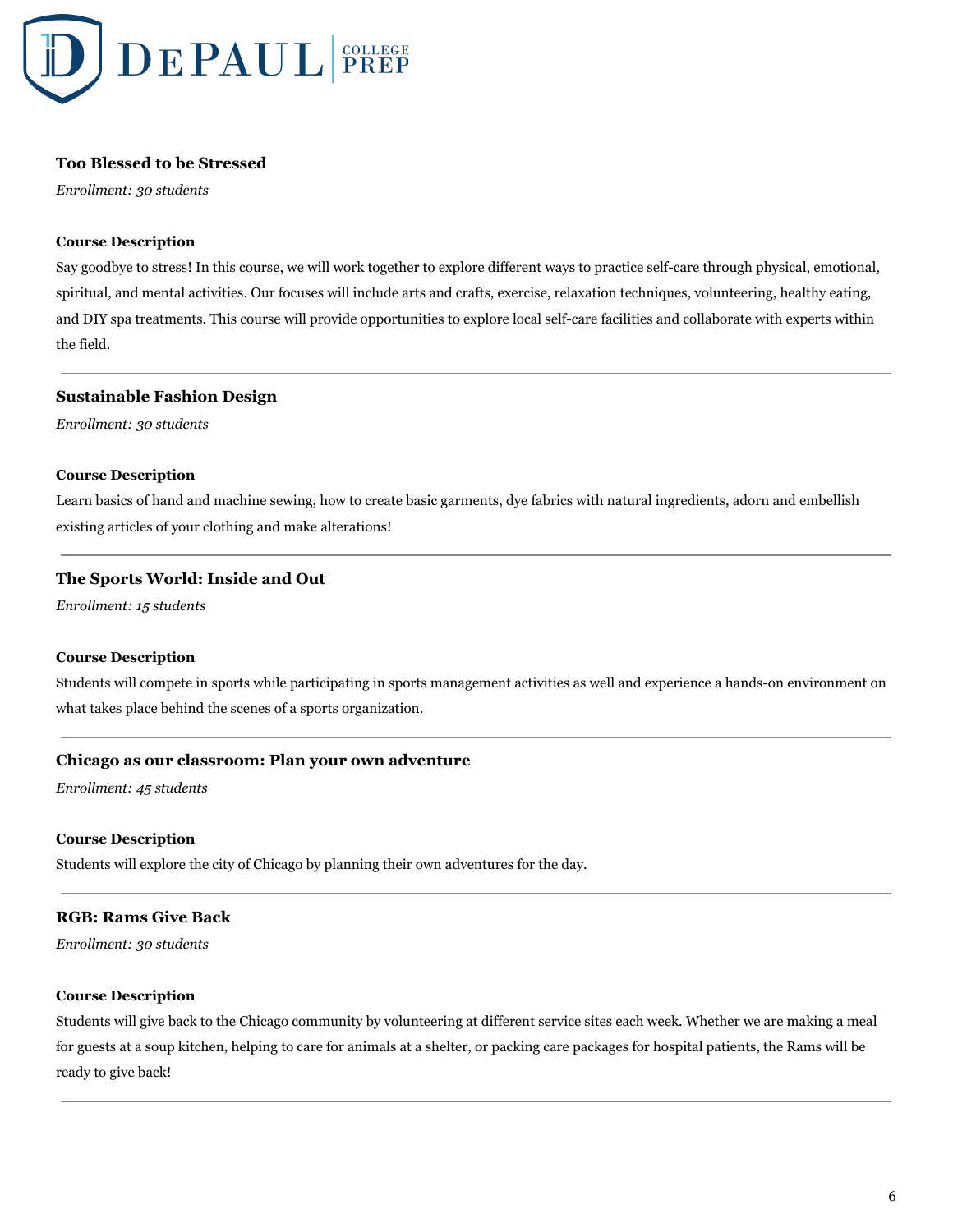

## **Too Blessed to be Stressed**

*Enrollment: 30 students*

#### **Course Description**

Say goodbye to stress! In this course, we will work together to explore different ways to practice self-care through physical, emotional, spiritual, and mental activities. Our focuses will include arts and crafts, exercise, relaxation techniques, volunteering, healthy eating, and DIY spa treatments. This course will provide opportunities to explore local self-care facilities and collaborate with experts within the field.

#### **Sustainable Fashion Design**

*Enrollment: 30 students*

#### **Course Description**

Learn basics of hand and machine sewing, how to create basic garments, dye fabrics with natural ingredients, adorn and embellish existing articles of your clothing and make alterations!

#### **The Sports World: Inside and Out**

*Enrollment: 15 students*

## **Course Description**

Students will compete in sports while participating in sports management activities as well and experience a hands-on environment on what takes place behind the scenes of a sports organization.

## **Chicago as our classroom: Plan your own adventure**

*Enrollment: 45 students*

#### **Course Description**

Students will explore the city of Chicago by planning their own adventures for the day.

#### **RGB: Rams Give Back**

*Enrollment: 30 students*

#### **Course Description**

Students will give back to the Chicago community by volunteering at different service sites each week. Whether we are making a meal for guests at a soup kitchen, helping to care for animals at a shelter, or packing care packages for hospital patients, the Rams will be ready to give back!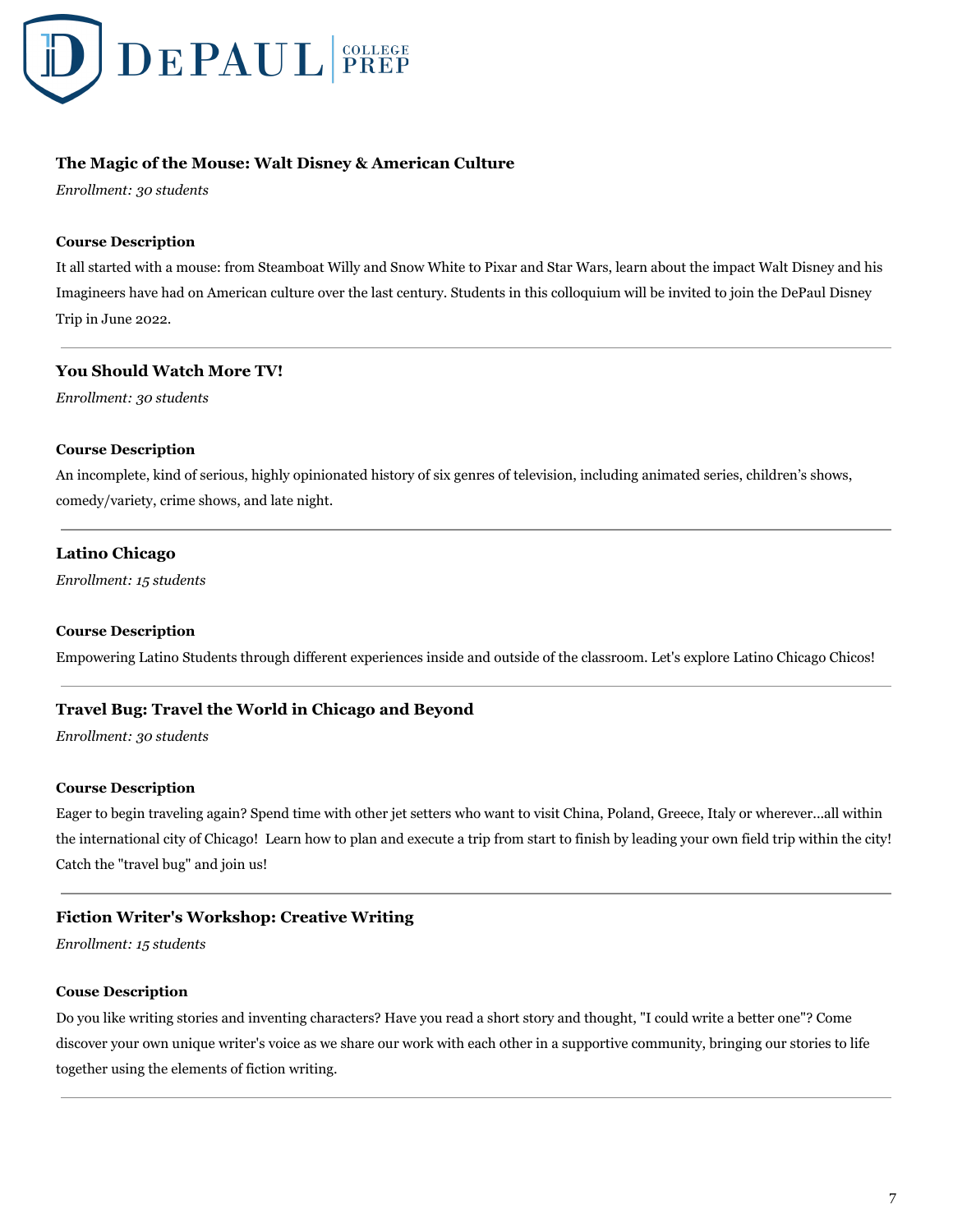

# **The Magic of the Mouse: Walt Disney & American Culture**

*Enrollment: 30 students*

#### **Course Description**

It all started with a mouse: from Steamboat Willy and Snow White to Pixar and Star Wars, learn about the impact Walt Disney and his Imagineers have had on American culture over the last century. Students in this colloquium will be invited to join the DePaul Disney Trip in June 2022.

## **You Should Watch More TV!**

*Enrollment: 30 students*

## **Course Description**

An incomplete, kind of serious, highly opinionated history of six genres of television, including animated series, children's shows, comedy/variety, crime shows, and late night.

## **Latino Chicago**

*Enrollment: 15 students*

## **Course Description**

Empowering Latino Students through different experiences inside and outside of the classroom. Let's explore Latino Chicago Chicos!

## **Travel Bug: Travel the World in Chicago and Beyond**

*Enrollment: 30 students*

#### **Course Description**

Eager to begin traveling again? Spend time with other jet setters who want to visit China, Poland, Greece, Italy or wherever...all within the international city of Chicago! Learn how to plan and execute a trip from start to finish by leading your own field trip within the city! Catch the "travel bug" and join us!

## **Fiction Writer's Workshop: Creative Writing**

*Enrollment: 15 students*

#### **Couse Description**

Do you like writing stories and inventing characters? Have you read a short story and thought, "I could write a better one"? Come discover your own unique writer's voice as we share our work with each other in a supportive community, bringing our stories to life together using the elements of fiction writing.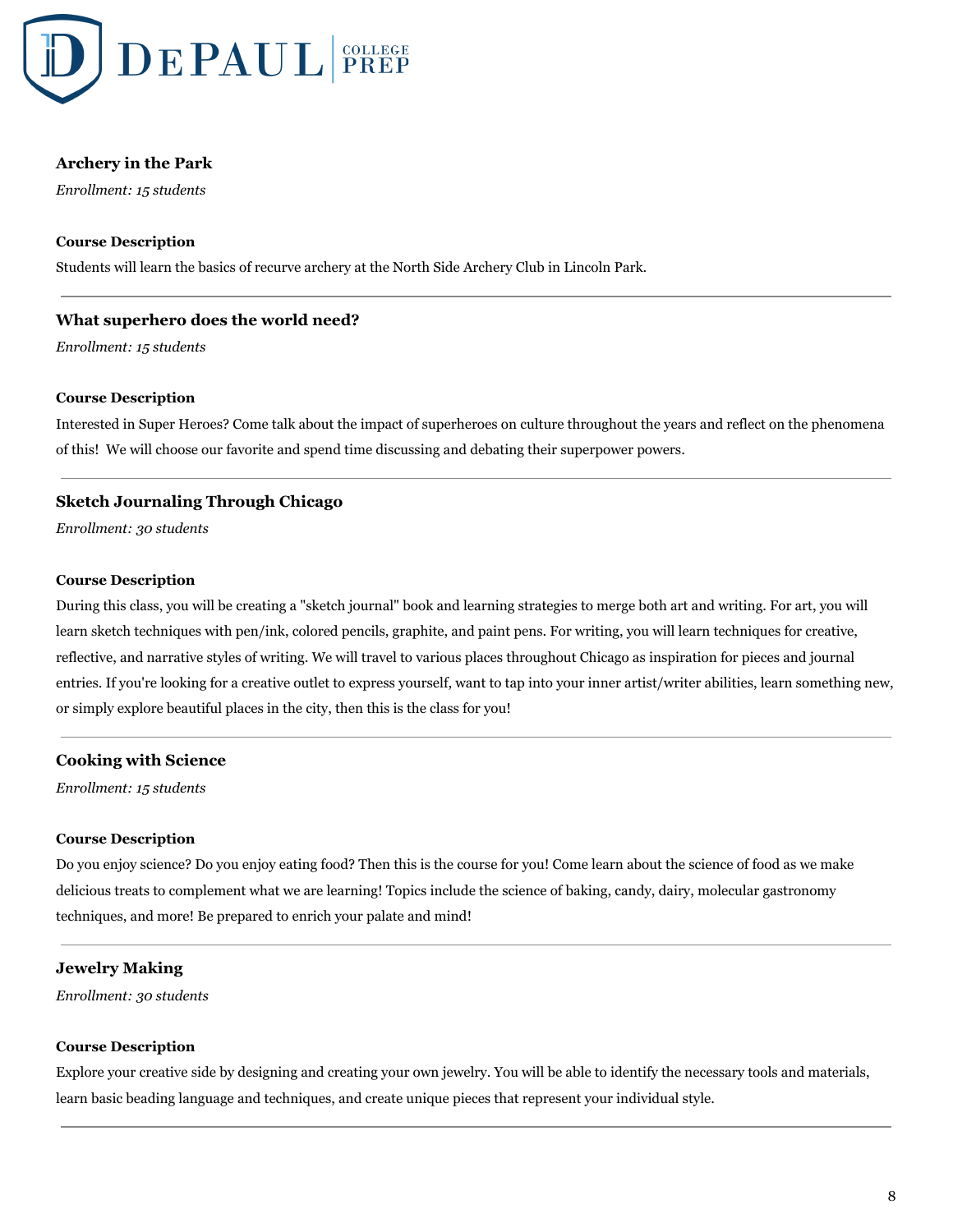

# **Archery in the Park**

*Enrollment: 15 students*

## **Course Description**

Students will learn the basics of recurve archery at the North Side Archery Club in Lincoln Park.

## **What superhero does the world need?**

*Enrollment: 15 students*

#### **Course Description**

Interested in Super Heroes? Come talk about the impact of superheroes on culture throughout the years and reflect on the phenomena of this! We will choose our favorite and spend time discussing and debating their superpower powers.

## **Sketch Journaling Through Chicago**

*Enrollment: 30 students*

#### **Course Description**

During this class, you will be creating a "sketch journal" book and learning strategies to merge both art and writing. For art, you will learn sketch techniques with pen/ink, colored pencils, graphite, and paint pens. For writing, you will learn techniques for creative, reflective, and narrative styles of writing. We will travel to various places throughout Chicago as inspiration for pieces and journal entries. If you're looking for a creative outlet to express yourself, want to tap into your inner artist/writer abilities, learn something new, or simply explore beautiful places in the city, then this is the class for you!

## **Cooking with Science**

*Enrollment: 15 students*

#### **Course Description**

Do you enjoy science? Do you enjoy eating food? Then this is the course for you! Come learn about the science of food as we make delicious treats to complement what we are learning! Topics include the science of baking, candy, dairy, molecular gastronomy techniques, and more! Be prepared to enrich your palate and mind!

## **Jewelry Making**

*Enrollment: 30 students*

#### **Course Description**

Explore your creative side by designing and creating your own jewelry. You will be able to identify the necessary tools and materials, learn basic beading language and techniques, and create unique pieces that represent your individual style.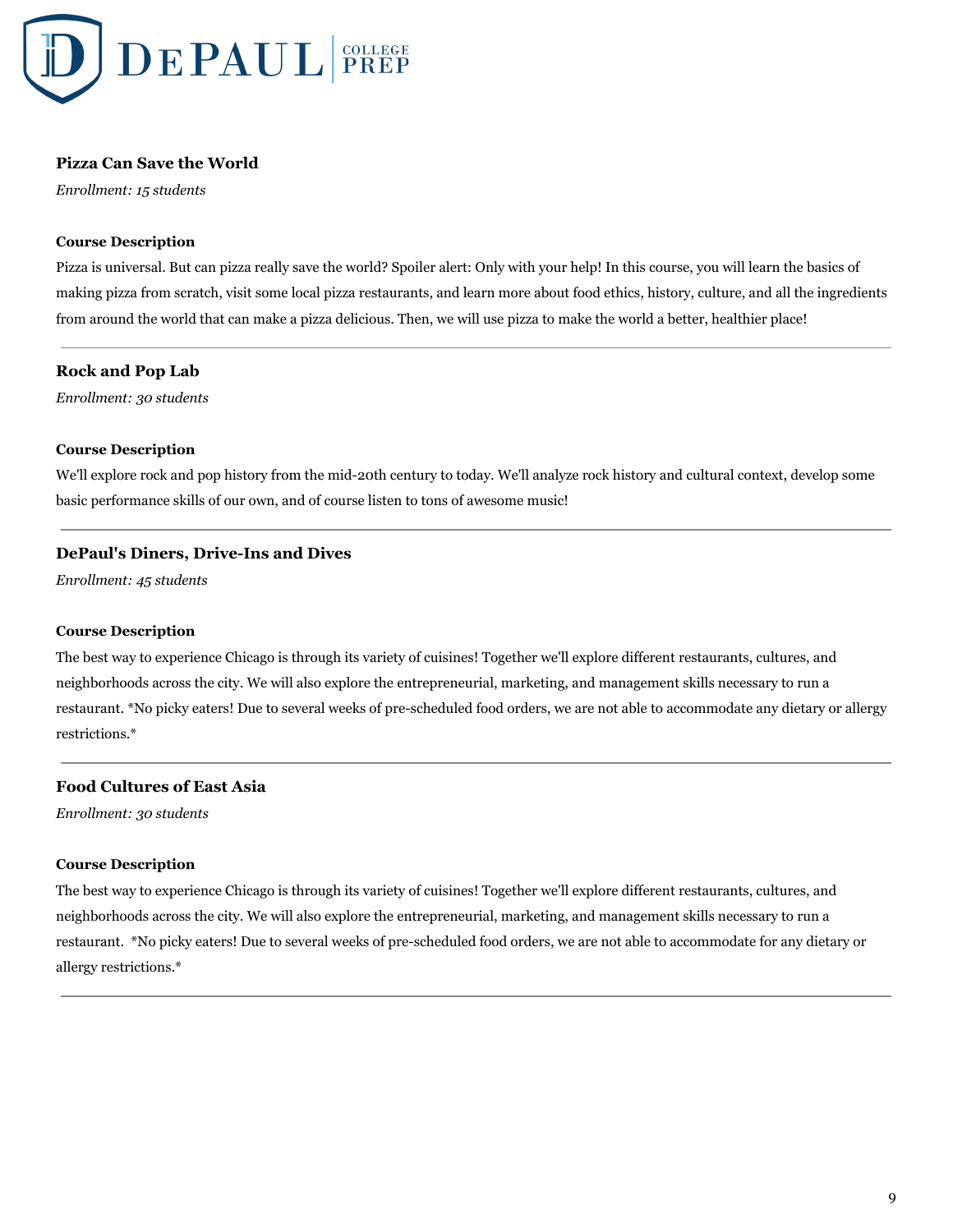

## **Pizza Can Save the World**

*Enrollment: 15 students*

## **Course Description**

Pizza is universal. But can pizza really save the world? Spoiler alert: Only with your help! In this course, you will learn the basics of making pizza from scratch, visit some local pizza restaurants, and learn more about food ethics, history, culture, and all the ingredients from around the world that can make a pizza delicious. Then, we will use pizza to make the world a better, healthier place!

## **Rock and Pop Lab**

*Enrollment: 30 students*

## **Course Description**

We'll explore rock and pop history from the mid-20th century to today. We'll analyze rock history and cultural context, develop some basic performance skills of our own, and of course listen to tons of awesome music!

## **DePaul's Diners, Drive-Ins and Dives**

*Enrollment: 45 students*

## **Course Description**

The best way to experience Chicago is through its variety of cuisines! Together we'll explore different restaurants, cultures, and neighborhoods across the city. We will also explore the entrepreneurial, marketing, and management skills necessary to run a restaurant. \*No picky eaters! Due to several weeks of pre-scheduled food orders, we are not able to accommodate any dietary or allergy restrictions.\*

# **Food Cultures of East Asia**

*Enrollment: 30 students*

#### **Course Description**

The best way to experience Chicago is through its variety of cuisines! Together we'll explore different restaurants, cultures, and neighborhoods across the city. We will also explore the entrepreneurial, marketing, and management skills necessary to run a restaurant. \*No picky eaters! Due to several weeks of pre-scheduled food orders, we are not able to accommodate for any dietary or allergy restrictions.\*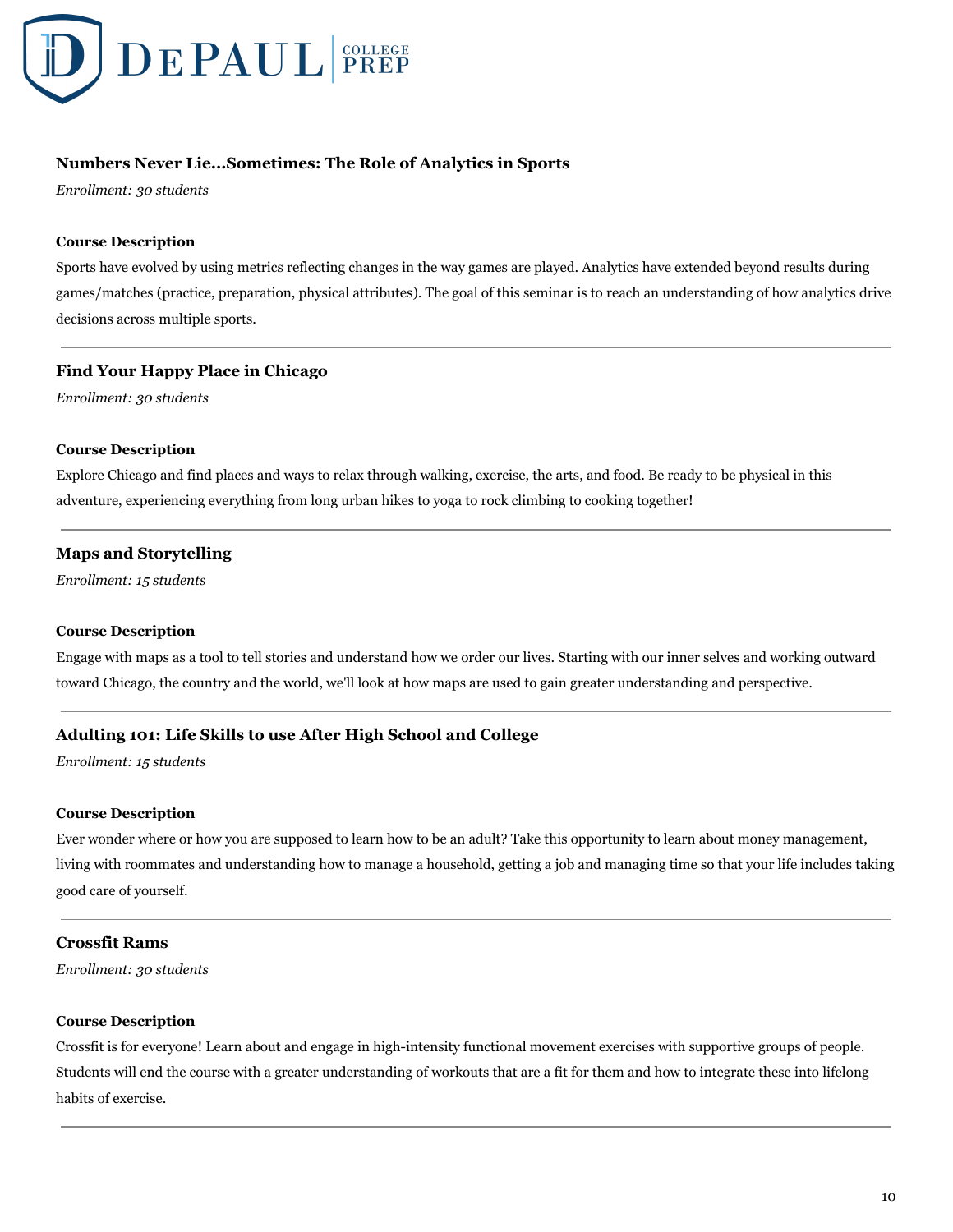

# **Numbers Never Lie...Sometimes: The Role of Analytics in Sports**

*Enrollment: 30 students*

## **Course Description**

Sports have evolved by using metrics reflecting changes in the way games are played. Analytics have extended beyond results during games/matches (practice, preparation, physical attributes). The goal of this seminar is to reach an understanding of how analytics drive decisions across multiple sports.

## **Find Your Happy Place in Chicago**

*Enrollment: 30 students*

## **Course Description**

Explore Chicago and find places and ways to relax through walking, exercise, the arts, and food. Be ready to be physical in this adventure, experiencing everything from long urban hikes to yoga to rock climbing to cooking together!

# **Maps and Storytelling**

*Enrollment: 15 students*

#### **Course Description**

Engage with maps as a tool to tell stories and understand how we order our lives. Starting with our inner selves and working outward toward Chicago, the country and the world, we'll look at how maps are used to gain greater understanding and perspective.

# **Adulting 101: Life Skills to use After High School and College**

*Enrollment: 15 students*

#### **Course Description**

Ever wonder where or how you are supposed to learn how to be an adult? Take this opportunity to learn about money management, living with roommates and understanding how to manage a household, getting a job and managing time so that your life includes taking good care of yourself.

## **Crossfit Rams**

*Enrollment: 30 students*

#### **Course Description**

Crossfit is for everyone! Learn about and engage in high-intensity functional movement exercises with supportive groups of people. Students will end the course with a greater understanding of workouts that are a fit for them and how to integrate these into lifelong habits of exercise.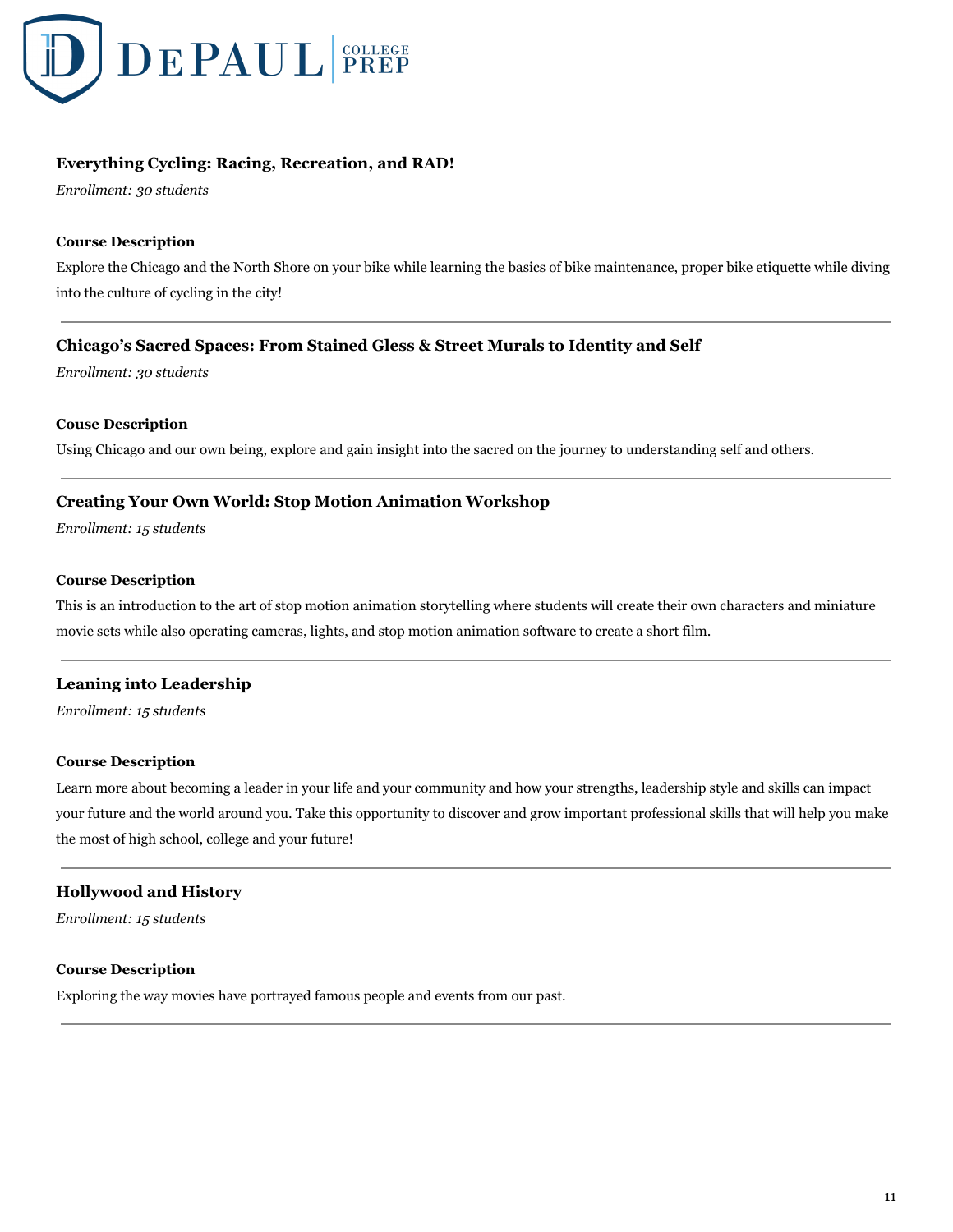

# **Everything Cycling: Racing, Recreation, and RAD!**

*Enrollment: 30 students*

## **Course Description**

Explore the Chicago and the North Shore on your bike while learning the basics of bike maintenance, proper bike etiquette while diving into the culture of cycling in the city!

## **Chicago's Sacred Spaces: From Stained Gless & Street Murals to Identity and Self**

*Enrollment: 30 students*

## **Couse Description**

Using Chicago and our own being, explore and gain insight into the sacred on the journey to understanding self and others.

## **Creating Your Own World: Stop Motion Animation Workshop**

*Enrollment: 15 students*

#### **Course Description**

This is an introduction to the art of stop motion animation storytelling where students will create their own characters and miniature movie sets while also operating cameras, lights, and stop motion animation software to create a short film.

## **Leaning into Leadership**

*Enrollment: 15 students*

#### **Course Description**

Learn more about becoming a leader in your life and your community and how your strengths, leadership style and skills can impact your future and the world around you. Take this opportunity to discover and grow important professional skills that will help you make the most of high school, college and your future!

## **Hollywood and History**

*Enrollment: 15 students*

#### **Course Description**

Exploring the way movies have portrayed famous people and events from our past.